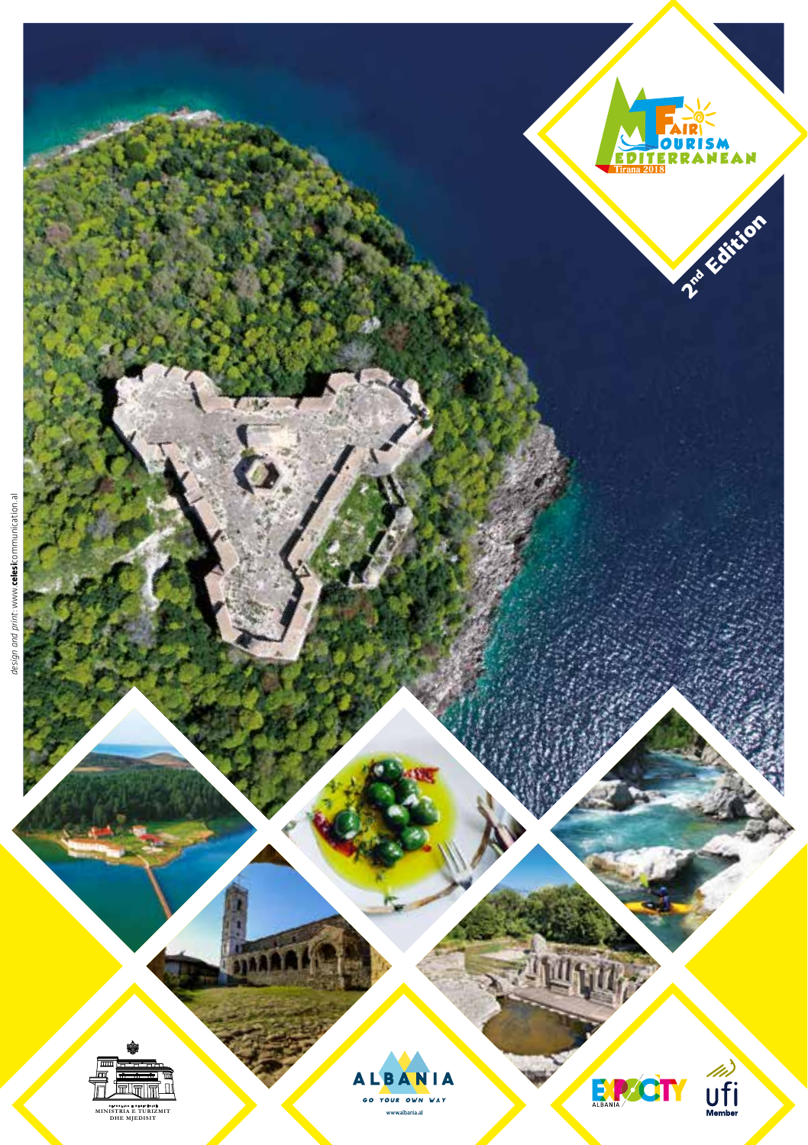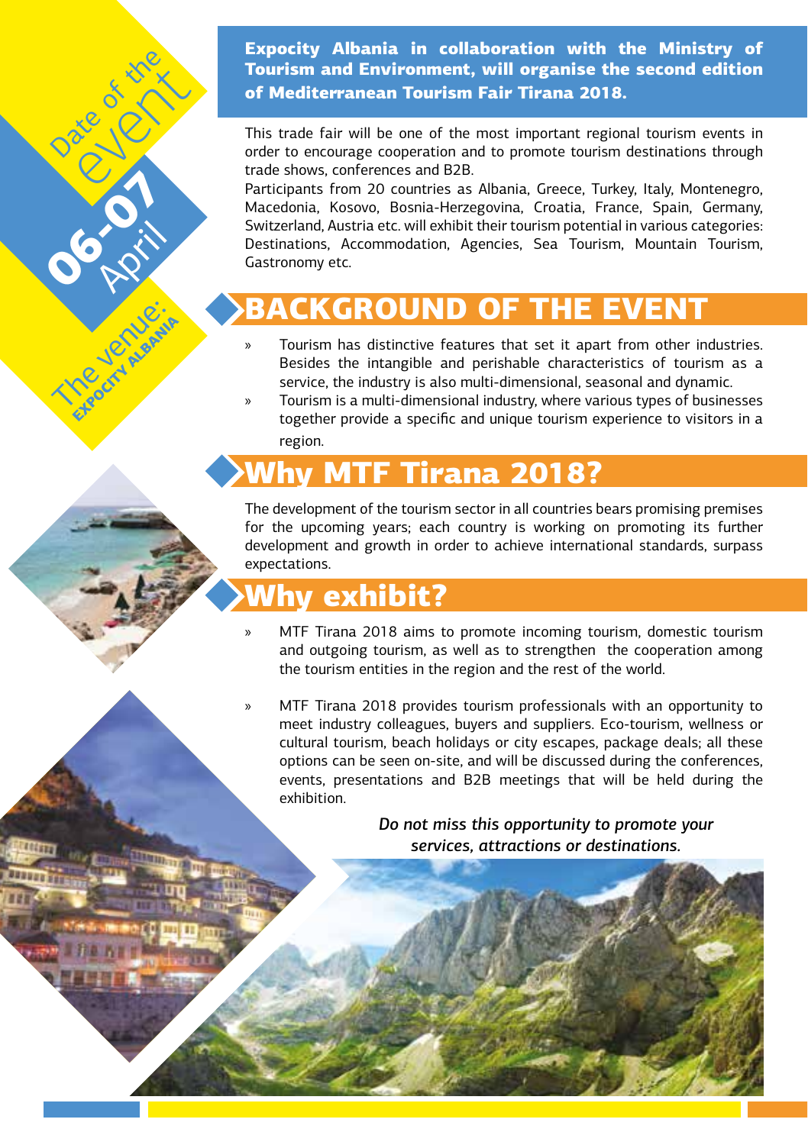Expocity Albania in collaboration with the Ministry of Tourism and Environment, will organise the second edition of Mediterranean Tourism Fair Tirana 2018.

This trade fair will be one of the most important regional tourism events in order to encourage cooperation and to promote tourism destinations through trade shows, conferences and B2B.

Participants from 20 countries as Albania, Greece, Turkey, Italy, Montenegro, Macedonia, Kosovo, Bosnia-Herzegovina, Croatia, France, Spain, Germany, Switzerland, Austria etc. will exhibit their tourism potential in various categories: Destinations, Accommodation, Agencies, Sea Tourism, Mountain Tourism, Gastronomy etc.

# CKGROUND OF T

- » Tourism has distinctive features that set it apart from other industries. Besides the intangible and perishable characteristics of tourism as a service, the industry is also multi-dimensional, seasonal and dynamic.
- » Tourism is a multi-dimensional industry, where various types of businesses together provide a specific and unique tourism experience to visitors in a region.

# hy MTF Tirana 2018?

The development of the tourism sector in all countries bears promising premises for the upcoming years; each country is working on promoting its further development and growth in order to achieve international standards, surpass expectations.

# hv exhibit?

**06-251** 

The ord Hand Export Alganis

Date of the event King

**PRILL** 

- MTF Tirana 2018 aims to promote incoming tourism, domestic tourism and outgoing tourism, as well as to strengthen the cooperation among the tourism entities in the region and the rest of the world.
- » MTF Tirana 2018 provides tourism professionals with an opportunity to meet industry colleagues, buyers and suppliers. Eco-tourism, wellness or cultural tourism, beach holidays or city escapes, package deals; all these options can be seen on-site, and will be discussed during the conferences, events, presentations and B2B meetings that will be held during the exhibition.

*Do not miss this opportunity to promote your services, attractions or destinations.*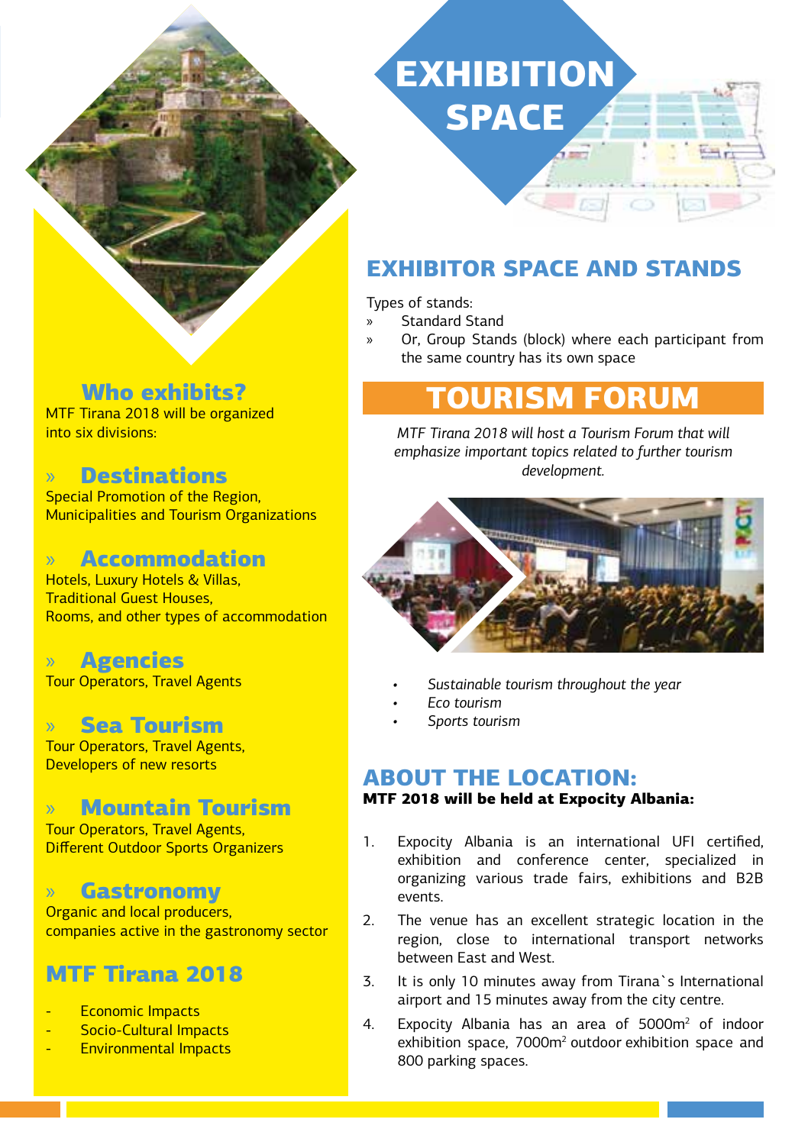

## Who exhibits?

MTF Tirana 2018 will be organized into six divisions:

## » Destinations

Special Promotion of the Region, Municipalities and Tourism Organizations

## » Accommodation

Hotels, Luxury Hotels & Villas, Traditional Guest Houses, Rooms, and other types of accommodation

### » Agencies

Tour Operators, Travel Agents

#### » Sea Tourism

Tour Operators, Travel Agents, Developers of new resorts

## » Mountain Tourism

Tour Operators, Travel Agents, Different Outdoor Sports Organizers

#### » Gastronomy

Organic and local producers, companies active in the gastronomy sector

# MTF Tirana 2018

- Economic Impacts
- Socio-Cultural Impacts
- Environmental Impacts

# **EXHIBITION SPACE**

# EXHIBITOR SPACE AND STANDS

Types of stands:

» Standard Stand

» Or, Group Stands (block) where each participant from the same country has its own space

# **TIRISM FORUM**

*MTF Tirana 2018 will host a Tourism Forum that will emphasize important topics related to further tourism development.*



- *• Sustainable tourism throughout the year*
- *• Eco tourism*
- *• Sports tourism*

#### ABOUT THE LOCATION:

#### MTF 2018 will be held at Expocity Albania:

- 1. Expocity Albania is an international UFI certified, exhibition and conference center, specialized in organizing various trade fairs, exhibitions and B2B events.
- 2. The venue has an excellent strategic location in the region, close to international transport networks between East and West.
- 3. It is only 10 minutes away from Tirana`s International airport and 15 minutes away from the city centre.
- 4. Expocity Albania has an area of 5000m<sup>2</sup> of indoor exhibition space, 7000m<sup>2</sup> outdoor exhibition space and 800 parking spaces.